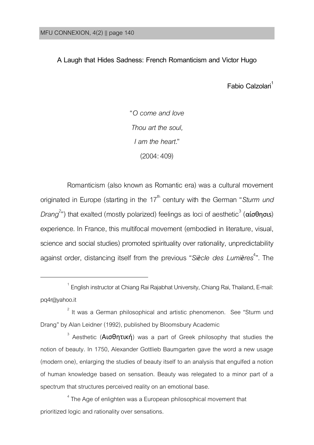$\overline{a}$ 

**A Laugh that Hides Sadness: French Romanticism and Victor Hugo**

**Fabio Calzolari<sup>1</sup>**

"*O come and love Thou art the soul, I am the heart.*" (2004:409)

Romanticism (also known as Romantic era) was a cultural movement originated in Europe (starting in the 17<sup>th</sup> century with the German "Sturm und *Drang<sup>2</sup>"*) that exalted (mostly polarized) feelings as loci of aesthetic<sup>3</sup> (αίσθησιs) experience. In France, this multifocal movement (embodied in literature, visual, science and social studies) promoted spirituality over rationality, unpredictability against order, distancing itself from the previous "*Siècle des Lumières* 4 ". The

 $^{\rm 1}$  English instructor at Chiang Rai Rajabhat University, Chiang Rai, Thailand, E-mail: pq4r@yahoo.it

 $2$  It was a German philosophical and artistic phenomenon. See "Sturm und Drang" by Alan Leidner (1992), published by Bloomsbury Academic

<sup>&</sup>lt;sup>3</sup> Aesthetic (**Αισθητική**) was a part of Greek philosophy that studies the notion of beauty. In 1750, Alexander Gottlieb Baumgarten gave the word a new usage (modern one), enlarging the studies of beauty itself to an analysis that engulfed a notion of human knowledge based on sensation. Beauty was relegated to a minor part of a spectrum that structures perceived reality on an emotional base.

 $^{\rm 4}$  The Age of enlighten was a European philosophical movement that prioritized logic and rationality over sensations.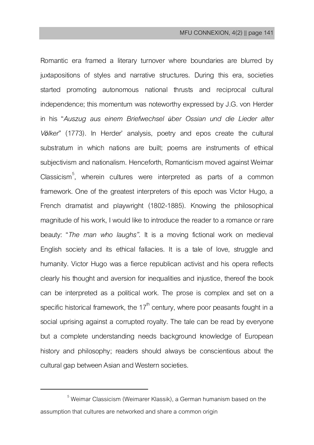Romantic era framed a literary turnover where boundaries are blurred by juxtapositions of styles and narrative structures. During this era, societies started promoting autonomous national thrusts and reciprocal cultural independence; this momentum was noteworthy expressed by J.G. von Herder in his "*Auszug aus einem Briefwechsel über Ossian und die Lieder alter Völker*" (1773). In Herder' analysis, poetry and epos create the cultural substratum in which nations are built; poems are instruments of ethical subjectivism and nationalism. Henceforth, Romanticism moved against Weimar Classicism<sup>5</sup>, wherein cultures were interpreted as parts of a common framework. One of the greatest interpreters of this epoch was Victor Hugo, a French dramatist and playwright (1802-1885). Knowing the philosophical magnitude of his work. I would like to introduce the reader to a romance or rare beauty: "*The man who laughs"*. It is a moving fictional work on medieval English society and its ethical fallacies. It is a tale of love, struggle and humanity. Victor Hugo was a fierce republican activist and his opera reflects clearly his thought and aversion for inequalities and injustice, thereof the book can be interpreted as a political work. The prose is complex and set on a specific historical framework, the  $17<sup>th</sup>$  century, where poor peasants fought in a social uprising against a corrupted royalty. The tale can be read by everyone but a complete understanding needs background knowledge of European history and philosophy; readers should always be conscientious about the cultural gap between Asian and Western societies.

 $\overline{\phantom{a}}$ 

 $<sup>5</sup>$  Weimar Classicism (Weimarer Klassik), a German humanism based on the</sup> assumption that cultures are networked and share a common origin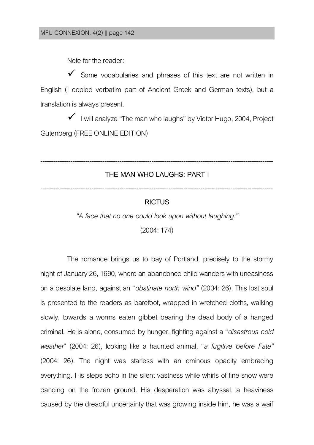Note for the reader:

 $\checkmark$  Some vocabularies and phrases of this text are not written in English (I copied verbatim part of Ancient Greek and German texts), but a translation is always present.

 $\checkmark$  I will analyze "The man who laughs" by Victor Hugo, 2004, Project Gutenberg (FREE ONLINE EDITION)

# **------------------------------------------------------------------------------------------------------------- THE MAN WHO LAUGHS: PART I** -------------------------------------------------------------------------------------------------------------

### **RICTUS**

*"A face that no one could look upon without laughing."*

(2004:174)

The romance brings us to bay of Portland, precisely to the stormy night of January 26, 1690, where an abandoned child wanders with uneasiness on a desolate land, against an "*obstinate north wind"* (2004: 26). This lost soul is presented to the readers as barefoot, wrapped in wretched cloths, walking slowly, towards a worms eaten gibbet bearing the dead body of a hanged criminal. He is alone, consumed by hunger, fighting against a "*disastrous cold weather*" (2004: 26), looking like a haunted animal, "*a fugitive before Fate"* (2004: 26). The night was starless with an ominous opacity embracing everything. His steps echo in the silent vastness while whirls of fine snow were dancing on the frozen ground. His desperation was abyssal, a heaviness caused by the dreadful uncertainty that was growing inside him, he was a waif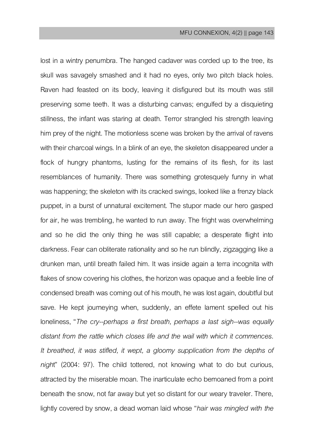lost in a wintry penumbra. The hanged cadaver was corded up to the tree, its skull was savagely smashed and it had no eyes, only two pitch black holes. Raven had feasted on its body, leaving it disfigured but its mouth was still preserving some teeth. It was a disturbing canvas; engulfed by a disquieting stillness, the infant was staring at death. Terror strangled his strength leaving him prey of the night. The motionless scene was broken by the arrival of ravens with their charcoal wings. In a blink of an eye, the skeleton disappeared under a flock of hungry phantoms, lusting for the remains of its flesh, for its last resemblances of humanity. There was something grotesquely funny in what was happening; the skeleton with its cracked swings, looked like a frenzy black puppet, in a burst of unnatural excitement. The stupor made our hero gasped for air, he was trembling, he wanted to run away. The fright was overwhelming and so he did the only thing he was still capable; a desperate flight into darkness. Fear can obliterate rationality and so he run blindly, zigzagging like a drunken man, until breath failed him. It was inside again a terra incognita with flakes of snow covering his clothes, the horizon was opaque and a feeble line of condensed breath was coming out of his mouth, he was lost again, doubtful but save. He kept journeying when, suddenly, an effete lament spelled out his loneliness, "*The cry--perhaps a first breath, perhaps a last sigh--was equally distant from the rattle which closes life and the wail with which it commences. It breathed, it was stifled, it wept, a gloomy supplication from the depths of nigh*t" (2004: 97). The child tottered, not knowing what to do but curious, attracted by the miserable moan. The inarticulate echo bemoaned from a point beneath the snow, not far away but yet so distant for our weary traveler. There, lightly covered by snow, a dead woman laid whose "*hair was mingled with the*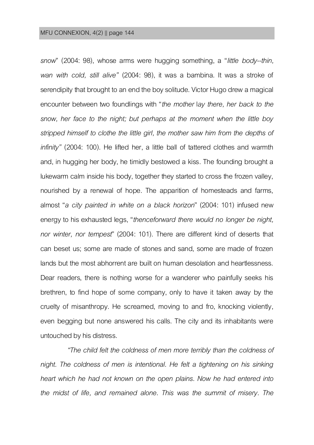*snow*" (2004: 98), whose arms were hugging something, a "*little body--thin, wan with cold, still alive"* (2004: 98), it was a bambina. It was a stroke of serendipity that brought to an end the boy solitude. Victor Hugo drew a magical encounter between two foundlings with "*the mother* l*ay there, her back to the snow, her face to the night; but perhaps at the moment when the little boy stripped himself to clothe the little girl, the mother saw him from the depths of infinity"* (2004: 100). He lifted her, a little ball of tattered clothes and warmth and, in hugging her body, he timidly bestowed a kiss. The founding brought a lukewarm calm inside his body, together they started to cross the frozen valley, nourished by a renewal of hope. The apparition of homesteads and farms, almost "*a city painted in white on a black horizon*" (2004: 101) infused new energy to his exhausted legs, "*thenceforward there would no longer be night, nor winter, nor tempest*" (2004: 101). There are different kind of deserts that can beset us; some are made of stones and sand, some are made of frozen lands but the most abhorrent are built on human desolation and heartlessness. Dear readers, there is nothing worse for a wanderer who painfully seeks his brethren, to find hope of some company, only to have it taken away by the cruelty of misanthropy. He screamed, moving to and fro, knocking violently, even begging but none answered his calls. The city and its inhabitants were untouched by his distress.

*"The child felt the coldness of men more terribly than the coldness of*  night. The coldness of men is intentional. He felt a tightening on his sinking *heart which he had not known on the open plains. Now he had entered into the midst of life, and remained alone. This was the summit of misery. The*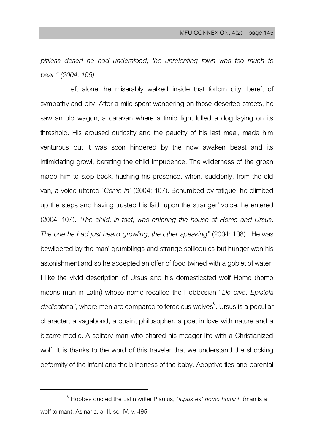*pitiless desert he had understood; the unrelenting town was too much to bear." (2004: 105)*

Left alone, he miserably walked inside that forlorn city, bereft of sympathy and pity. After a mile spent wandering on those deserted streets, he saw an old wagon, a caravan where a timid light lulled a dog laying on its threshold. His aroused curiosity and the paucity of his last meal, made him venturous but it was soon hindered by the now awaken beast and its intimidating growl, berating the child impudence. The wilderness of the groan made him to step back, hushing his presence, when, suddenly, from the old van, a voice uttered "*Come in"* (2004: 107). Benumbed by fatigue, he climbed up the steps and having trusted his faith upon the stranger' voice, he entered (2004: 107). *"The child, in fact, was entering the house of Homo and Ursus. The one he had just heard growling, the other speaking"* (2004:108). He was bewildered by the man' grumblings and strange soliloquies but hunger won his astonishment and so he accepted an offer of food twined with a goblet of water. I like the vivid description of Ursus and his domesticated wolf Homo (homo means man in Latin) whose name recalled the Hobbesian "*De cive, Epistola dedicat*oria", where men are compared to ferocious wolves<sup>6</sup>. Ursus is a peculiar character; a vagabond, a quaint philosopher, a poet in love with nature and a bizarre medic. A solitary man who shared his meager life with a Christianized wolf. It is thanks to the word of this traveler that we understand the shocking deformity of the infant and the blindness of the baby. Adoptive ties and parental

 $\overline{\phantom{a}}$ 

<sup>6</sup> Hobbes quoted the Latin writer Plautus, "*lupus est homo homini"* (man is a wolf to man), Asinaria, a. II, sc. IV, v. 495.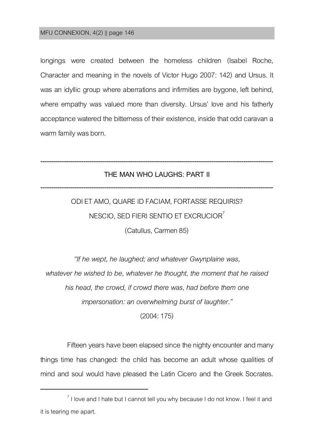$\overline{\phantom{a}}$ 

longings were created between the homeless children (Isabel Roche, Character and meaning in the novels of Victor Hugo 2007: 142) and Ursus. It was an idyllic group where aberrations and infirmities are bygone, left behind, where empathy was valued more than diversity. Ursus' love and his fatherly acceptance watered the bitterness of their existence, inside that odd caravan a warm family was born.

# **------------------------------------------------------------------------------------------------------------- THE MAN WHO LAUGHS: PART II -------------------------------------------------------------------------------------------------------------**

ODI ET AMO, QUARE ID FACIAM, FORTASSE REQUIRIS? NESCIO, SED FIERI SENTIO ET EXCRUCIOR<sup>7</sup> (Catullus, Carmen 85)

*"If he wept, he laughed; and whatever Gwynplaine was, whatever he wished to be, whatever he thought, the moment that he raised his head, the crowd, if crowd there was, had before them one impersonation: an overwhelming burst of laughter."*

(2004:175)

Fifteen years have been elapsed since the nighty encounter and many things time has changed: the child has become an adult whose qualities of mind and soul would have pleased the Latin Cicero and the Greek Socrates.

 $^7$  I love and I hate but I cannot tell you why because I do not know. I feel it and it is tearing me apart.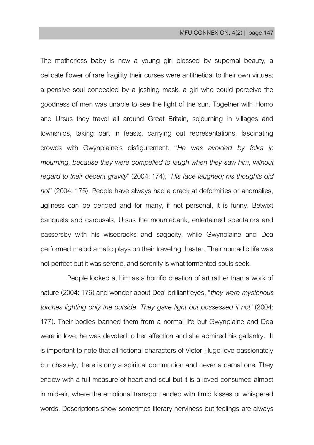The motherless baby is now a young girl blessed by supernal beauty, a delicate flower of rare fragility their curses were antithetical to their own virtues; a pensive soul concealed by a joshing mask, a girl who could perceive the goodness of men was unable to see the light of the sun. Together with Homo and Ursus they travel all around Great Britain, sojourning in villages and townships, taking part in feasts, carrying out representations, fascinating crowds with Gwynplaine's disfigurement. "*He was avoided by folks in mourning, because they were compelled to laugh when they saw him, without regard to their decent gravity*" (2004:174), "*His face laughed; his thoughts did not*" (2004: 175). People have always had a crack at deformities or anomalies, ugliness can be derided and for many, if not personal, it is funny. Betwixt banquets and carousals, Ursus the mountebank, entertained spectators and passersby with his wisecracks and sagacity, while Gwynplaine and Dea performed melodramatic plays on their traveling theater. Their nomadic life was not perfect but it was serene, and serenity is what tormented souls seek.

People looked at him as a horrific creation of art rather than a work of nature (2004:176) and wonder about Dea' brilliant eyes, "*they were mysterious torches lighting only the outside. They gave light but possessed it not*" (2004: 177). Their bodies banned them from a normal life but Gwynplaine and Dea were in love; he was devoted to her affection and she admired his gallantry. It is important to note that all fictional characters of Victor Hugo love passionately but chastely, there is only a spiritual communion and never a carnal one. They endow with a full measure of heart and soul but it is a loved consumed almost in mid-air, where the emotional transport ended with timid kisses or whispered words. Descriptions show sometimes literary nerviness but feelings are always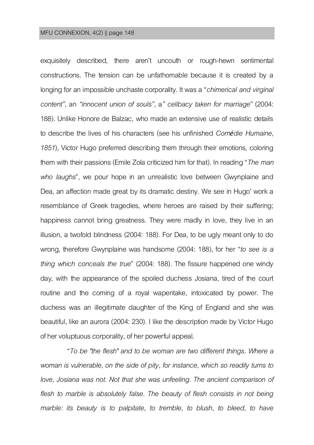exquisitely described, there aren't uncouth or rough-hewn sentimental constructions. The tension can be unfathomable because it is created by a longing for an impossible unchaste corporality. It was a "*chimerical and virginal content",* an *"innocent union of souls",* a*" celibacy taken for marriage*" (2004: 188). Unlike Honore de Balzac, who made an extensive use of realistic details to describe the lives of his characters (see his unfinished *Comédie Humaine, 1851*), Victor Hugo preferred describing them through their emotions, coloring them with their passions (Emile Zola criticized him for that). In reading "*The man who laughs*", we pour hope in an unrealistic love between Gwynplaine and Dea, an affection made great by its dramatic destiny. We see in Hugo' work a resemblance of Greek tragedies, where heroes are raised by their suffering; happiness cannot bring greatness. They were madly in love, they live in an illusion, a twofold blindness (2004: 188). For Dea, to be ugly meant only to do wrong, therefore Gwynplaine was handsome (2004: 188), for her "*to see is a thing which conceals the true*" (2004: 188). The fissure happened one windy day, with the appearance of the spoiled duchess Josiana, tired of the court routine and the coming of a royal wapentake, intoxicated by power. The duchess was an illegitimate daughter of the King of England and she was beautiful, like an aurora (2004: 230). I like the description made by Victor Hugo of her voluptuous corporality, of her powerful appeal.

"*To be "the flesh" and to be woman are two different things. Where a woman is vulnerable, on the side of pity, for instance, which so readily turns to love, Josiana was not. Not that she was unfeeling. The ancient comparison of*  flesh to marble is absolutely false. The beauty of flesh consists in not being *marble: its beauty is to palpitate, to tremble, to blush, to bleed, to have*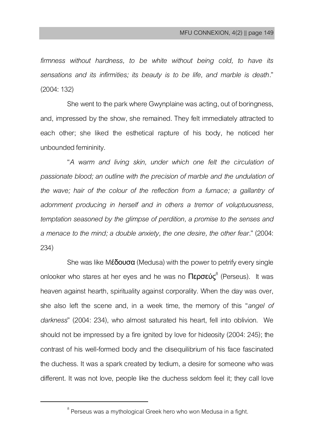*firmness without hardness, to be white without being cold, to have its sensations and its infirmities; its beauty is to be life, and marble is death.*" (2004:132)

She went to the park where Gwynplaine was acting, out of boringness, and, impressed by the show, she remained. They felt immediately attracted to each other; she liked the esthetical rapture of his body, he noticed her unbounded femininity.

"*A warm and living skin, under which one felt the circulation of*  passionate blood; an outline with the precision of marble and the undulation of the wave; hair of the colour of the reflection from a furnace; a gallantry of *adornment producing in herself and in others a tremor of voluptuousness, temptation seasoned by the glimpse of perdition, a promise to the senses and a menace to the mind; a double anxiety, the one desire, the other fear.*" (2004: 234)

She was like  $M\epsilon\delta$ ουσα (Medusa) with the power to petrify every single onlooker who stares at her eyes and he was no  $\Pi$ ερσεύς $^8$  (Perseus). It was heaven against hearth, spirituality against corporality. When the day was over, she also left the scene and, in a week time, the memory of this "*angel of darkness*" (2004: 234), who almost saturated his heart, fell into oblivion. We should not be impressed by a fire ignited by love for hideosity (2004: 245); the contrast of his well-formed body and the disequilibrium of his face fascinated the duchess. It was a spark created by tedium, a desire for someone who was different. It was not love, people like the duchess seldom feel it; they call love

 $\overline{a}$ 

 $^8$  Perseus was a mythological Greek hero who won Medusa in a fight.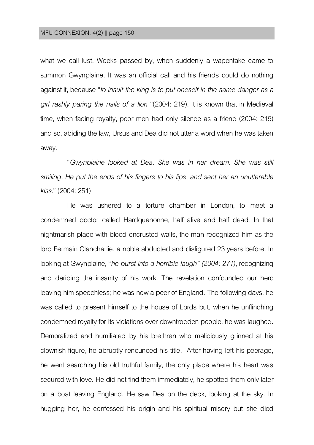what we call lust. Weeks passed by, when suddenly a wapentake came to summon Gwynplaine. It was an official call and his friends could do nothing against it, because "*to insult the king is to put oneself in the same danger as a girl rashly paring the nails of a lion* "(2004: 219). It is known that in Medieval time, when facing royalty, poor men had only silence as a friend (2004: 219) and so, abiding the law, Ursus and Dea did not utter a word when he was taken away.

"*Gwynplaine looked at Dea. She was in her dream. She was still smiling. He put the ends of his fingers to his lips, and sent her an unutterable kiss.*" (2004:251)

He was ushered to a torture chamber in London, to meet a condemned doctor called Hardquanonne, half alive and half dead. In that nightmarish place with blood encrusted walls, the man recognized him as the lord Fermain Clancharlie, a noble abducted and disfigured 23 years before. In looking at Gwynplaine, "*he burst into a horrible laugh" (2004: 271)*, recognizing and deriding the insanity of his work. The revelation confounded our hero leaving him speechless; he was now a peer of England. The following days, he was called to present himself to the house of Lords but, when he unflinching condemned royalty for its violations over downtrodden people, he was laughed. Demoralized and humiliated by his brethren who maliciously grinned at his clownish figure, he abruptly renounced his title. After having left his peerage, he went searching his old truthful family, the only place where his heart was secured with love. He did not find them immediately, he spotted them only later on a boat leaving England. He saw Dea on the deck, looking at the sky. In hugging her, he confessed his origin and his spiritual misery but she died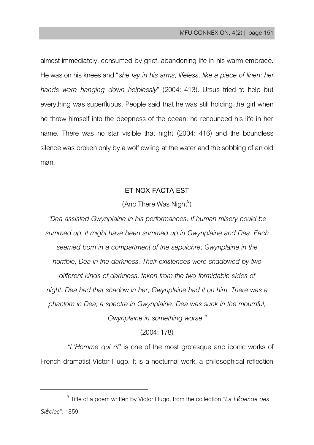almost immediately, consumed by grief, abandoning life in his warm embrace. He was on his knees and "*she lay in his arms, lifeless, like a piece of linen; her hands were hanging down helplessly*" (2004: 413). Ursus tried to help but everything was superfluous. People said that he was still holding the girl when he threw himself into the deepness of the ocean; he renounced his life in her name. There was no star visible that night (2004: 416) and the boundless silence was broken only by a wolf owling at the water and the sobbing of an old man.

## **ET NOX FACTA EST**

# $($ And There Was Night $^{9}$ )

*"Dea assisted Gwynplaine in his performances. If human misery could be summed up, it might have been summed up in Gwynplaine and Dea. Each seemed born in a compartment of the sepulchre; Gwynplaine in the horrible, Dea in the darkness. Their existences were shadowed by two different kinds of darkness, taken from the two formidable sides of night. Dea had that shadow in her, Gwynplaine had it on him. There was a phantom in Dea, a spectre in Gwynplaine. Dea was sunk in the mournful, Gwynplaine in something worse."*

(2004:178)

*"L'Homme qui rit*" is one of the most grotesque and iconic works of French dramatist Victor Hugo. It is a nocturnal work, a philosophical reflection

 $\overline{\phantom{a}}$ 

<sup>9</sup> Title of a poem written by Victor Hugo, from the collection "*La Légende des Siècles*",1859.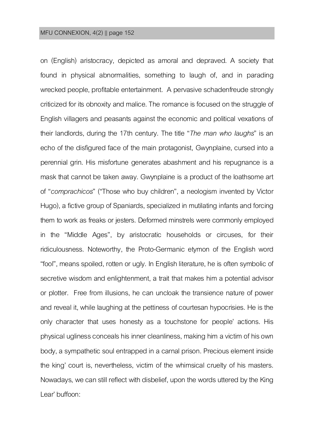on (English) aristocracy, depicted as amoral and depraved. A society that found in physical abnormalities, something to laugh of, and in parading wrecked people, profitable entertainment. A pervasive schadenfreude strongly criticized for its obnoxity and malice. The romance is focused on the struggle of English villagers and peasants against the economic and political vexations of their landlords, during the 17th century. The title "*The man who laughs*" is an echo of the disfigured face of the main protagonist, Gwynplaine, cursed into a perennial grin. His misfortune generates abashment and his repugnance is a mask that cannot be taken away. Gwynplaine is a product of the loathsome art of "*comprachicos*" ("Those who buy children", a neologism invented by Victor Hugo), a fictive group of Spaniards, specialized in mutilating infants and forcing them to work as freaks or jesters. Deformed minstrels were commonly employed in the "Middle Ages", by aristocratic households or circuses, for their ridiculousness. Noteworthy, the Proto-Germanic etymon of the English word "fool", means spoiled, rotten or ugly. In English literature, he is often symbolic of secretive wisdom and enlightenment, a trait that makes him a potential advisor or plotter. Free from illusions, he can uncloak the transience nature of power and reveal it, while laughing at the pettiness of courtesan hypocrisies. He is the only character that uses honesty as a touchstone for people' actions. His physical ugliness conceals his inner cleanliness, making him a victim of his own body, a sympathetic soul entrapped in a carnal prison. Precious element inside the king' court is, nevertheless, victim of the whimsical cruelty of his masters. Nowadays, we can still reflect with disbelief, upon the words uttered by the King Lear' buffoon: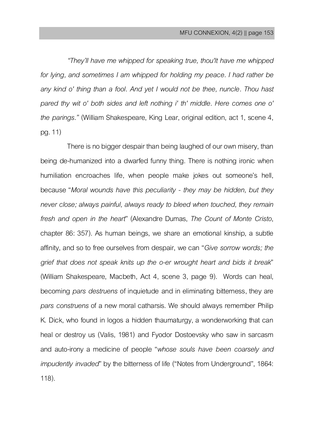*"They'll have me whipped for speaking true, thou'lt have me whipped for lying, and sometimes I am whipped for holding my peace. I had rather be*  any kind o' thing than a fool. And yet I would not be thee, nuncle. Thou hast *pared thy wit o' both sides and left nothing i' th' middle. Here comes one o' the parings."* (William Shakespeare, King Lear, original edition, act 1, scene 4, pg. 11)

There is no bigger despair than being laughed of our own misery, than being de-humanized into a dwarfed funny thing. There is nothing ironic when humiliation encroaches life, when people make jokes out someone's hell, because "*Moral wounds have this peculiarity - they may be hidden, but they never close; always painful, always ready to bleed when touched, they remain fresh and open in the heart*" (Alexandre Dumas, *The Count of Monte Cristo*, chapter 86: 357). As human beings, we share an emotional kinship, a subtle affinity, and so to free ourselves from despair, we can "*Give sorrow words; the grief that does not speak knits up the o-er wrought heart and bids it break*" (William Shakespeare, Macbeth, Act 4, scene 3, page 9). Words can heal, becoming *pars destruens* of inquietude and in eliminating bitterness, they are *pars construens* of a new moral catharsis. We should always remember Philip K. Dick, who found in logos a hidden thaumaturgy, a wonderworking that can heal or destroy us (Valis, 1981) and Fyodor Dostoevsky who saw in sarcasm and auto-irony a medicine of people "*whose souls have been coarsely and impudently invaded*" by the bitterness of life ("Notes from Underground", 1864: 118).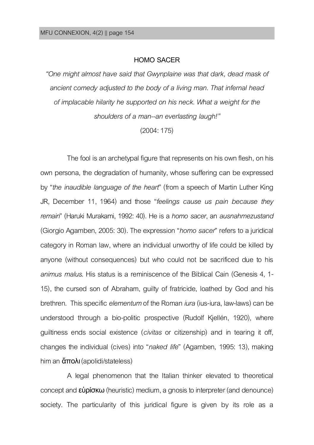### **HOMO SACER**

*"One might almost have said that Gwynplaine was that dark, dead mask of ancient comedy adjusted to the body of a living man. That infernal head of implacable hilarity he supported on his neck. What a weight for the shoulders of a man--an everlasting laugh!"*

(2004:175)

The fool is an archetypal figure that represents on his own flesh, on his own persona, the degradation of humanity, whose suffering can be expressed by "*the inaudible language of the heart*" (from a speech of Martin Luther King JR, December 11, 1964) and those "*feelings cause us pain because they remain*" (Haruki Murakami, 1992: 40). He is a *homo sacer*, an *ausnahmezustand* (Giorgio Agamben, 2005:30).The expression "*homo sacer*" refers to a juridical category in Roman law, where an individual unworthy of life could be killed by anyone (without consequences) but who could not be sacrificed due to his *animus malus*. His status is a reminiscence of the Biblical Cain (Genesis 4, 1- 15), the cursed son of Abraham, guilty of fratricide, loathed by God and his brethren. Thisspecific *elementum* of the Roman *iura*(ius-iura, law-laws) can be understood through a bio-politic prospective (Rudolf Kjellén, 1920), where guiltiness ends social existence (*civitas* or citizenship) and in tearing it off, changes the individual (cives) into "*naked life*" (Agamben, 1995: 13), making him an ἄπολι (apolidi/stateless)

A legal phenomenon that the Italian thinker elevated to theoretical concept and εὑρίσκω (heuristic) medium, a gnosis to interpreter (and denounce) society. The particularity of this juridical figure is given by its role as a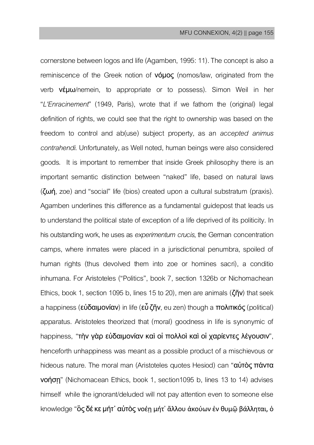cornerstone between logos and life (Agamben, 1995:11).The concept is also a reminiscence of the Greek notion of νόμος (nomos/law, originated from the verb νέμω/nemein, to appropriate or to possess). Simon Weil in her "*L'Enracinement*" (1949, Paris), wrote that if we fathom the (original) legal definition of rights, we could see that the right to ownership was based on the freedom to control and ab(use) subject property, as an *accepted animus contrahendi*. Unfortunately, as Well noted, human beings were also considered goods. It is important to remember that inside Greek philosophy there is an important semantic distinction between "naked" life, based on natural laws (ζωή, zoe) and "social" life (bios) created upon a cultural substratum (praxis). Agamben underlines this difference as a fundamental guidepost that leads us to understand the political state of exception of a life deprived of its politicity. In his outstanding work, he uses as *experimentum crucis*, the Germanconcentration camps, where inmates were placed in a jurisdictional penumbra, spoiled of human rights (thus devolved them into zoe or homines sacri), a conditio inhumana. For Aristoteles ("Politics", book 7, section 1326b or Nichomachean Ethics, book 1, section 1095 b, lines 15 to 20), men are animals ( $\zeta \tilde{\eta} v$ ) that seek a happiness (εὐδαιμονίαν) in life (εὖ ζῆν, eu zen) though a πολιτικός (political) apparatus. Aristoteles theorized that (moral) goodness in life is synonymic of happiness, "τὴν γὰρ εὐδαιμονίαν καὶ οἱ πολλοὶ καὶ οἱ χαρίεντες λέγουσιν", henceforth unhappiness was meant as a possible product of a mischievous or hideous nature. The moral man (Aristoteles quotes Hesiod) can "**αὐτὸς πάντα** νοήσῃ" (Nichomacean Ethics, book 1, section1095 b, lines 13 to 14) advises himself while the ignorant/deluded will not pay attention even to someone else knowledge "ὃς δέ κε μήτ' αὐτὸς νοέη μήτ' ἄλλου ἀκούων ἐν θυμῷ βάλληται, ὁ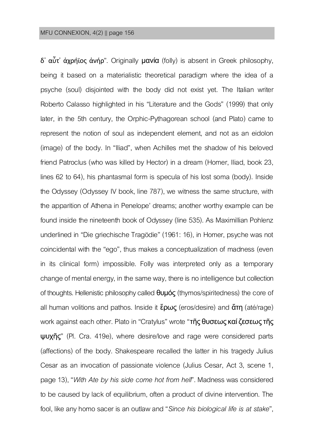$\delta'$  αὖτ' άχρήϊος άνήρ". Originally μανία (folly) is absent in Greek philosophy, being it based on a materialistic theoretical paradigm where the idea of a psyche (soul) disjointed with the body did not exist yet. The Italian writer Roberto Calasso highlighted in his "Literature and the Gods" (1999) that only later, in the 5th century, the Orphic-Pythagorean school (and Plato) came to represent the notion of soul as independent element, and not as an eidolon (image) of the body. In "Iliad", when Achilles met the shadow of his beloved friend Patroclus (who was killed by Hector) in a dream (Homer, Iliad, book 23, lines 62 to 64), his phantasmal form is specula of his lost soma (body). Inside the Odyssey (Odyssey IV book, line 787), we witness the same structure, with the apparition of Athena in Penelope' dreams; another worthy example can be found inside the nineteenth book of Odyssey (line 535). As Maximillian Pohlenz underlined in "Die griechische Tragödie" (1961: 16), in Homer, psyche was not coincidental with the "ego", thus makes a conceptualization of madness (even in its clinical form) impossible. Folly was interpreted only as a temporary change of mental energy, in the same way, there is no intelligence but collection of thoughts. Hellenistic philosophy called θυμός (thymos/spiritedness) the core of all human volitions and pathos. Inside it  $\zeta$  pws (eros/desire) and  $\tilde{\alpha}$ τη (até/rage) work against each other. Plato in "Cratylus" wrote "τῆς θυσεως καί ζεσεως τῆς ψυχῆς" (Pl. Cra. 419e), where desire/love and rage were considered parts (affections) of the body. Shakespeare recalled the latter in his tragedy Julius Cesar as an invocation of passionate violence (Julius Cesar, Act 3, scene 1, page 13), "*With Ate by his side come hot from hell*". Madness was considered to be caused by lack of equilibrium, often a product of divine intervention. The fool, like any homo sacer is an outlaw and "*Since his biological life is at stake*",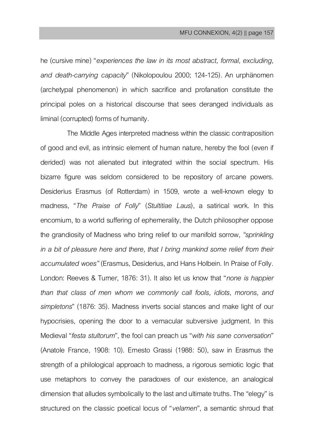he (cursive mine) "*experiences the law in its most abstract, formal, excluding, and death-carrying capacity*" (Nikolopoulou 2000; 124-125). An urphänomen (archetypal phenomenon) in which sacrifice and profanation constitute the principal poles on a historical discourse that sees deranged individuals as liminal (corrupted) forms of humanity.

The Middle Ages interpreted madness within the classic contraposition of good and evil, as intrinsic element of human nature, hereby the fool (even if derided) was not alienated but integrated within the social spectrum. His bizarre figure was seldom considered to be repository of arcane powers. Desiderius Erasmus (of Rotterdam) in 1509, wrote a well-known elegy to madness, "*The Praise of Folly*" (*Stultitiae Laus*), a satirical work. In this encomium, to a world suffering of ephemerality, the Dutch philosopher oppose the grandiosity of Madness who bring relief to our manifold sorrow, *"sprinkling in a bit of pleasure here and there, that I bring mankind some relief from their accumulated woes"* (Erasmus, Desiderius, and Hans Holbein. In Praise of Folly. London: Reeves & Turner, 1876: 31). It also let us know that "*none is happier than that class of men whom we commonly call fools, idiots, morons, and simpletons*" (1876: 35). Madness inverts social stances and make light of our hypocrisies, opening the door to a vernacular subversive judgment. In this Medieval "*festa stultorum*", the fool can preachus "*with his sane conversation*" (Anatole France, 1908: 10). Ernesto Grassi (1988: 50), saw in Erasmus the strength of a philological approach to madness, a rigorous semiotic logic that use metaphors to convey the paradoxes of our existence, an analogical dimension that alludes symbolically to the last and ultimate truths. The "elegy" is structured on the classic poetical locus of "*velamen*", a semantic shroud that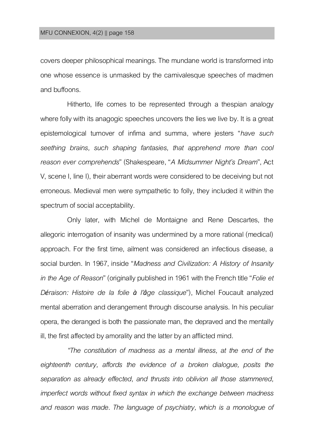covers deeper philosophical meanings.The mundane world is transformed into one whose essence is unmasked by the carnivalesque speeches of madmen and buffoons.

Hitherto, life comes to be represented through a thespian analogy where folly with its anagogic speeches uncovers the lies we live by. It is a great epistemological turnover of infima and summa, where jesters "*have such seething brains, such shaping fantasies, that apprehend more than cool reason ever comprehends*" (Shakespeare, "*A Midsummer Night's Dream*", Act V, scene I, line I), their aberrant words were considered to be deceiving but not erroneous. Medieval men were sympathetic to folly, they included it within the spectrum of social acceptability.

Only later, with Michel de Montaigne and Rene Descartes, the allegoric interrogation of insanity was undermined by a more rational (medical) approach. For the first time, ailment was considered an infectious disease, a social burden. In 1967, inside "*Madness and Civilization: A History of Insanity in the Age of Reason*" (originally published in 1961 with the French title"*Folie et Déraison: Histoire de la folie à l'âge classique*"), Michel Foucault analyzed mental aberration and derangement through discourse analysis. In his peculiar opera, the deranged is both the passionate man, the depraved and the mentally ill, the first affected by amorality and the latter by an afflicted mind.

*"The constitution of madness as a mental illness, at the end of the eighteenth century, affords the evidence of a broken dialogue, posits the separation as already effected, and thrusts into oblivion all those stammered, imperfect words without fixed syntax in which the exchange between madness and reason was made. The language of psychiatry, which is a monologue of*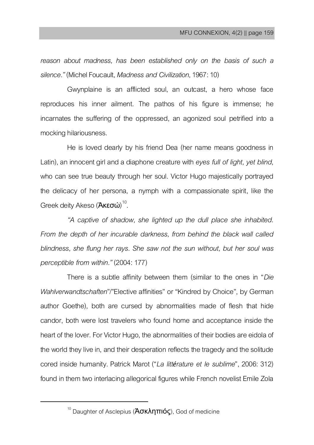*reason about madness, has been established only on the basis of such a silence."* (Michel Foucault, *Madness and Civilization*, 1967:10)

Gwynplaine is an afflicted soul, an outcast, a hero whose face reproduces his inner ailment. The pathos of his figure is immense; he incarnates the suffering of the oppressed, an agonized soul petrified into a mocking hilariousness.

He is loved dearly by his friend Dea (her name means goodness in Latin), an innocent girl and a diaphone creature with *eves full of light, vet blind*, who can see true beauty through her soul. Victor Hugo majestically portrayed the delicacy of her persona, a nymph with a compassionate spirit, like the Greek deity Akeso (**Ἀκεσώ**)<sup>10</sup> .

*"A captive of shadow, she lighted up the dull place she inhabited. From the depth of her incurable darkness, from behind the black wall called blindness, she flung her rays. She saw not the sun without, but her soul was perceptible from within."* (2004:177)

There is a subtle affinity between them (similar to the ones in "*Die Wahlverwandtschaften*"/"Elective affinities" or "Kindred by Choice", by German author Goethe), both are cursed by abnormalities made of flesh that hide candor, both were lost travelers who found home and acceptance inside the heart of the lover. For Victor Hugo, the abnormalities of their bodies are eidola of the world they live in, and their desperation reflects the tragedy and the solitude cored inside humanity. Patrick Marot ("*La littérature et le sublime*", 2006: 312) found in them two interlacing allegorical figures while French novelist Emile Zola

 $\overline{a}$ 

<sup>&</sup>lt;sup>10</sup> Daughter of Asclepius (**Ἀσκληπιός**), God of medicine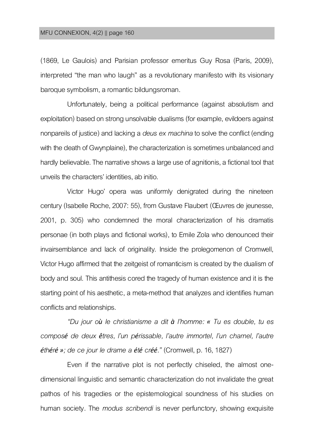(1869, Le Gaulois) and Parisian professor emeritus Guy Rosa (Paris, 2009), interpreted "the man who laugh" as a revolutionary manifesto with its visionary baroque symbolism, a romantic bildungsroman.

Unfortunately, being a political performance (against absolutism and exploitation) based on strong unsolvable dualisms (for example, evildoers against nonpareils of justice) and lacking a *deus ex machina* to solve the conflict (ending with the death of Gwynplaine), the characterization is sometimes unbalanced and hardly believable. The narrative shows a large use of agnitionis, a fictional tool that unveils the characters' identities, ab initio.

Victor Hugo' opera was uniformly denigrated during the nineteen century (Isabelle Roche, 2007:55), from Gustave Flaubert (Œuvres de jeunesse, 2001, p. 305) who condemned the moral characterization of his dramatis personae (in both plays and fictional works), to Emile Zola who denounced their invairsemblance and lack of originality. Inside the prolegomenon of Cromwell, Victor Hugo affirmed that the zeitgeist of romanticism is created by the dualism of body and soul.This antithesis cored the tragedy of human existence and it is the starting point of his aesthetic, a meta-method that analyzes and identifies human conflicts and relationships.

*"Du jour où le christianisme a dit à l'homme: « Tu es double, tu es composé de deux êtres, l'un périssable, l'autre immortel, l'un charnel, l'autre éthéré »; de ce jour le drame a été créé."* (Cromwell, p. 16, 1827)

Even if the narrative plot is not perfectly chiseled, the almost onedimensional linguistic and semantic characterization do not invalidate the great pathos of his tragedies or the epistemological soundness of his studies on human society. The *modus scribendi* is never perfunctory, showing exquisite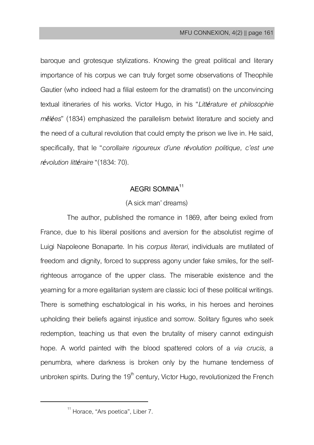baroque and grotesque stylizations. Knowing the great political and literary importance of his corpus we can truly forget some observations of Theophile Gautier (who indeed had a filial esteem for the dramatist) on the unconvincing textual itineraries of his works. Victor Hugo, in his "*Littérature et philosophie mêlées*" (1834) emphasized the parallelism betwixt literature and society and the need of a cultural revolution that could empty the prison we live in. He said, specifically, that le "*corollaire rigoureux d'une révolution politique, c'est une révolution littéraire*"(1834:70).

## **AEGRI SOMNIA<sup>11</sup>**

## (A sick man' dreams)

The author, published the romance in 1869, after being exiled from France, due to his liberal positions and aversion for the absolutist regime of Luigi Napoleone Bonaparte. In his *corpus literari*, individuals are mutilated of freedom and dignity, forced to suppress agony under fake smiles, for the selfrighteous arrogance of the upper class. The miserable existence and the yearning for a more egalitarian system are classic loci of these political writings. There is something eschatological in his works, in his heroes and heroines upholding their beliefs against injustice and sorrow. Solitary figures who seek redemption, teaching us that even the brutality of misery cannot extinguish hope. A world painted with the blood spattered colors of a *via crucis*, a penumbra, where darkness is broken only by the humane tenderness of unbroken spirits. During the 19<sup>th</sup> century, Victor Hugo, revolutionized the French

 $\overline{a}$ 

<sup>&</sup>lt;sup>11</sup> Horace, "Ars poetica", Liber 7.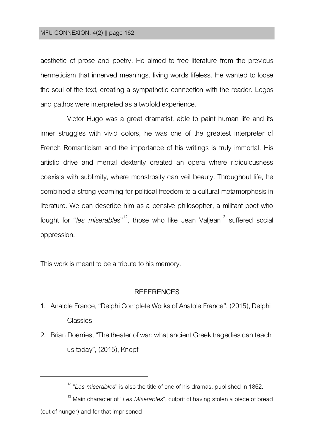aesthetic of prose and poetry. He aimed to free literature from the previous hermeticism that innerved meanings, living words lifeless. He wanted to loose the soul of the text, creating a sympathetic connection with the reader. Logos and pathos were interpreted as a twofold experience.

Victor Hugo was a great dramatist, able to paint human life and its inner struggles with vivid colors, he was one of the greatest interpreter of French Romanticism and the importance of his writings is truly immortal. His artistic drive and mental dexterity created an opera where ridiculousness coexists with sublimity, where monstrosity can veil beauty. Throughout life, he combined a strong yearning for political freedom to a cultural metamorphosis in literature. We can describe him as a pensive philosopher, a militant poet who fought for "*les miserables*"<sup>12</sup>, those who like Jean Valiean<sup>13</sup> suffered social oppression.

This work is meant to be a tribute to his memory.

 $\overline{a}$ 

### **REFERENCES**

- 1. Anatole France, "Delphi Complete Works of Anatole France", (2015), Delphi Classics
- 2. Brian Doerries, "The theater of war: what ancient Greek tragedies can teach us today", (2015), Knopf

<sup>13</sup> Main character of "Les Miserables", culprit of having stolen a piece of bread (out of hunger) and for that imprisoned

<sup>12</sup> "*Les miserables*" is also the title of one of his dramas, published in 1862.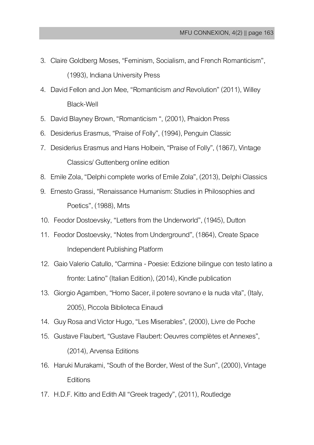- 3. Claire Goldberg Moses, "Feminism, Socialism, and French Romanticism", (1993), Indiana University Press
- 4. David Fellonand Jon Mee, "Romanticism *and* Revolution" (2011), Willey Black-Well
- 5. David Blayney Brown, "Romanticism ", (2001), Phaidon Press
- 6. Desiderius Erasmus, "Praise of Folly", (1994), Penguin Classic
- 7. Desiderius Erasmus and Hans Holbein, "Praise of Folly", (1867), Vintage Classics/ Guttenberg online edition
- 8. Emile Zola, "Delphi complete works of Emile Zola", (2013), Delphi Classics
- 9. Ernesto Grassi, "Renaissance Humanism: Studies in Philosophies and Poetics", (1988), Mrts
- 10. Feodor Dostoevsky, "Letters from the Underworld", (1945), Dutton
- 11. Feodor Dostoevsky, "Notes from Underground", (1864), Create Space Independent Publishing Platform
- 12. Gaio Valerio Catullo, "Carmina Poesie: Edizione bilingue con testo latino a fronte: Latino" (Italian Edition), (2014), Kindle publication
- 13. Giorgio Agamben, "Homo Sacer, il potere sovrano e la nuda vita", (Italy, 2005), Piccola Biblioteca Einaudi
- 14. Guy Rosa and Victor Hugo, "Les Miserables", (2000), Livre de Poche
- 15. Gustave Flaubert, "Gustave Flaubert: Oeuvres complètes et Annexes", (2014), Arvensa Editions
- 16. Haruki Murakami, "South of the Border, West of the Sun", (2000), Vintage **Editions**
- 17. H.D.F. Kitto and Edith All "Greek tragedy", (2011), Routledge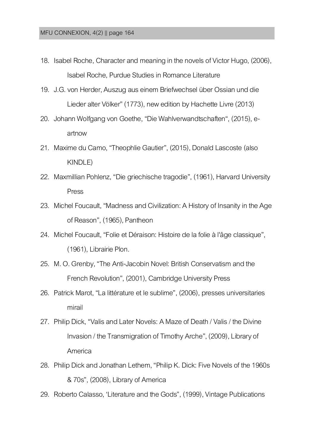- 18. Isabel Roche, Character and meaning in the novels of Victor Hugo, (2006), Isabel Roche, Purdue Studies in Romance Literature
- 19. J.G. von Herder, Auszug aus einem Briefwechsel über Ossian und die Lieder alter Völker" (1773), new edition by Hachette Livre (2013)
- 20. Johann Wolfgang von Goethe, "Die Wahlverwandtschaften", (2015), eartnow
- 21. Maxime du Camo, "Theophlie Gautier", (2015), Donald Lascoste(also KINDLE)
- 22. Maxmillian Pohlenz, "Die griechische tragodie", (1961), Harvard University Press
- 23. Michel Foucault, "Madness and Civilization: A History of Insanity in the Age of Reason", (1965), Pantheon
- 24. Michel Foucault, "Folie et Déraison: Histoire de la folie à l'âge classique", (1961), Librairie Plon.
- 25. M. O. Grenby, "The Anti-Jacobin Novel: British Conservatism and the French Revolution", (2001), Cambridge University Press
- 26. Patrick Marot, "La littérature et le sublime", (2006), presses universitaries mirail
- 27. Philip Dick, "Valis and Later Novels: A Maze of Death / Valis / the Divine Invasion / the Transmigration of Timothy Arche", (2009), Library of America
- 28. Philip Dick and Jonathan Lethem, "Philip K. Dick: Five Novels of the 1960s & 70s", (2008), Library of America
- 29. Roberto Calasso, 'Literature and the Gods", (1999), Vintage Publications